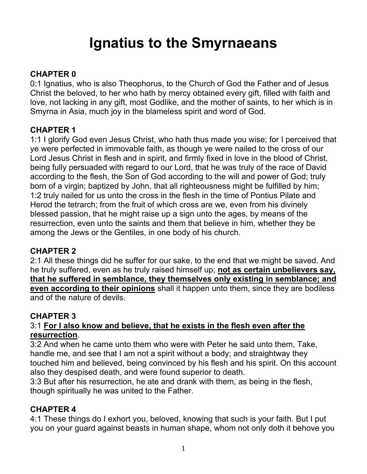# **Ignatius to the Smyrnaeans**

## **CHAPTER 0**

0:1 Ignatius, who is also Theophorus, to the Church of God the Father and of Jesus Christ the beloved, to her who hath by mercy obtained every gift, filled with faith and love, not lacking in any gift, most Godlike, and the mother of saints, to her which is in Smyrna in Asia, much joy in the blameless spirit and word of God.

## **CHAPTER 1**

1:1 I glorify God even Jesus Christ, who hath thus made you wise; for I perceived that ye were perfected in immovable faith, as though ye were nailed to the cross of our Lord Jesus Christ in flesh and in spirit, and firmly fixed in love in the blood of Christ, being fully persuaded with regard to our Lord, that he was truly of the race of David according to the flesh, the Son of God according to the will and power of God; truly born of a virgin; baptized by John, that all righteousness might be fulfilled by him; 1:2 truly nailed for us unto the cross in the flesh in the time of Pontius Pilate and Herod the tetrarch; from the fruit of which cross are we, even from his divinely blessed passion, that he might raise up a sign unto the ages, by means of the resurrection, even unto the saints and them that believe in him, whether they be among the Jews or the Gentiles, in one body of his church.

## **CHAPTER 2**

2:1 All these things did he suffer for our sake, to the end that we might be saved. And he truly suffered, even as he truly raised himself up; **not as certain unbelievers say, that he suffered in semblance, they themselves only existing in semblance; and even according to their opinions** shall it happen unto them, since they are bodiless and of the nature of devils.

## **CHAPTER 3**

#### 3:1 **For I also know and believe, that he exists in the flesh even after the resurrection**.

3:2 And when he came unto them who were with Peter he said unto them, Take, handle me, and see that I am not a spirit without a body; and straightway they touched him and believed, being convinced by his flesh and his spirit. On this account also they despised death, and were found superior to death.

3:3 But after his resurrection, he ate and drank with them, as being in the flesh, though spiritually he was united to the Father.

# **CHAPTER 4**

4:1 These things do I exhort you, beloved, knowing that such is your faith. But I put you on your guard against beasts in human shape, whom not only doth it behove you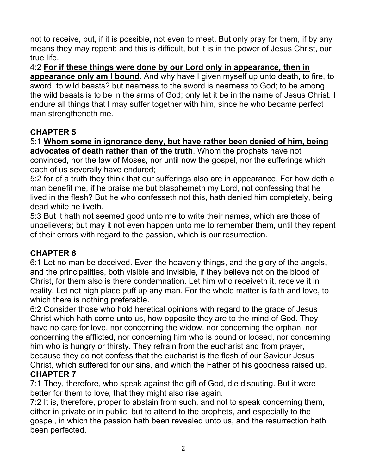not to receive, but, if it is possible, not even to meet. But only pray for them, if by any means they may repent; and this is difficult, but it is in the power of Jesus Christ, our true life.

4:2 **For if these things were done by our Lord only in appearance, then in appearance only am I bound**. And why have I given myself up unto death, to fire, to sword, to wild beasts? but nearness to the sword is nearness to God; to be among the wild beasts is to be in the arms of God; only let it be in the name of Jesus Christ. I endure all things that I may suffer together with him, since he who became perfect man strengtheneth me.

# **CHAPTER 5**

5:1 **Whom some in ignorance deny, but have rather been denied of him, being advocates of death rather than of the truth**. Whom the prophets have not convinced, nor the law of Moses, nor until now the gospel, nor the sufferings which each of us severally have endured;

5:2 for of a truth they think that our sufferings also are in appearance. For how doth a man benefit me, if he praise me but blasphemeth my Lord, not confessing that he lived in the flesh? But he who confesseth not this, hath denied him completely, being dead while he liveth.

5:3 But it hath not seemed good unto me to write their names, which are those of unbelievers; but may it not even happen unto me to remember them, until they repent of their errors with regard to the passion, which is our resurrection.

# **CHAPTER 6**

6:1 Let no man be deceived. Even the heavenly things, and the glory of the angels, and the principalities, both visible and invisible, if they believe not on the blood of Christ, for them also is there condemnation. Let him who receiveth it, receive it in reality. Let not high place puff up any man. For the whole matter is faith and love, to which there is nothing preferable.

6:2 Consider those who hold heretical opinions with regard to the grace of Jesus Christ which hath come unto us, how opposite they are to the mind of God. They have no care for love, nor concerning the widow, nor concerning the orphan, nor concerning the afflicted, nor concerning him who is bound or loosed, nor concerning him who is hungry or thirsty. They refrain from the eucharist and from prayer, because they do not confess that the eucharist is the flesh of our Saviour Jesus Christ, which suffered for our sins, and which the Father of his goodness raised up. **CHAPTER 7**

# 7:1 They, therefore, who speak against the gift of God, die disputing. But it were better for them to love, that they might also rise again.

7:2 It is, therefore, proper to abstain from such, and not to speak concerning them, either in private or in public; but to attend to the prophets, and especially to the gospel, in which the passion hath been revealed unto us, and the resurrection hath been perfected.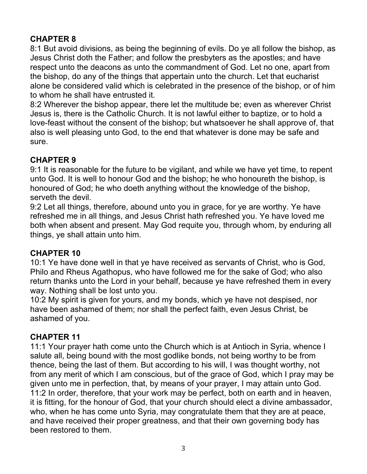# **CHAPTER 8**

8:1 But avoid divisions, as being the beginning of evils. Do ye all follow the bishop, as Jesus Christ doth the Father; and follow the presbyters as the apostles; and have respect unto the deacons as unto the commandment of God. Let no one, apart from the bishop, do any of the things that appertain unto the church. Let that eucharist alone be considered valid which is celebrated in the presence of the bishop, or of him to whom he shall have entrusted it.

8:2 Wherever the bishop appear, there let the multitude be; even as wherever Christ Jesus is, there is the Catholic Church. It is not lawful either to baptize, or to hold a love-feast without the consent of the bishop; but whatsoever he shall approve of, that also is well pleasing unto God, to the end that whatever is done may be safe and sure.

# **CHAPTER 9**

9:1 It is reasonable for the future to be vigilant, and while we have yet time, to repent unto God. It is well to honour God and the bishop; he who honoureth the bishop, is honoured of God; he who doeth anything without the knowledge of the bishop, serveth the devil.

9:2 Let all things, therefore, abound unto you in grace, for ye are worthy. Ye have refreshed me in all things, and Jesus Christ hath refreshed you. Ye have loved me both when absent and present. May God requite you, through whom, by enduring all things, ye shall attain unto him.

# **CHAPTER 10**

10:1 Ye have done well in that ye have received as servants of Christ, who is God, Philo and Rheus Agathopus, who have followed me for the sake of God; who also return thanks unto the Lord in your behalf, because ye have refreshed them in every way. Nothing shall be lost unto you.

10:2 My spirit is given for yours, and my bonds, which ye have not despised, nor have been ashamed of them; nor shall the perfect faith, even Jesus Christ, be ashamed of you.

# **CHAPTER 11**

11:1 Your prayer hath come unto the Church which is at Antioch in Syria, whence I salute all, being bound with the most godlike bonds, not being worthy to be from thence, being the last of them. But according to his will, I was thought worthy, not from any merit of which I am conscious, but of the grace of God, which I pray may be given unto me in perfection, that, by means of your prayer, I may attain unto God. 11:2 In order, therefore, that your work may be perfect, both on earth and in heaven, it is fitting, for the honour of God, that your church should elect a divine ambassador, who, when he has come unto Syria, may congratulate them that they are at peace, and have received their proper greatness, and that their own governing body has been restored to them.